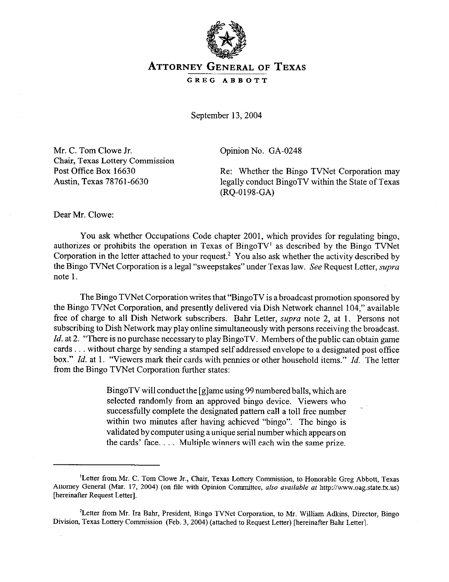

## **ATTORNEY GENERAL OF TEXAS**

GREG ABBOTT

September 13,2004

Mr. C. Tom Clowe Jr. Chair, Texas Lottery Commission Post Office Box 16630 Austin, Texas 78761-6630

Opinion No. GA-0248

Re: Whether the Bingo TVNet Corporation may legally conduct BingoTV within the State of Texas (RQ-0198-GA)

Dear Mr. Clowe:

You ask whether Occupations Code chapter 2001, which provides for regulating bingo, authorizes or prohibits the operation in Texas of BingoTV<sup>1</sup> as described by the Bingo TVNet Corporation in the letter attached to your request? You also ask whether the activity described by the Bingo TVNet Corporation is a legal "sweepstakes" under Texas law. See Request Letter, *supra* note 1.

The Bingo TVNet Corporation writes that "BingoTV is a broadcast promotion sponsored by the Bingo TVNet Corporation, and presently delivered via Dish Network channel 104," available free of charge to all Dish Network subscribers. Bahr Letter, *supra* note 2, at 1. Persons not subscribing to Dish Network may play online simultaneously with persons receiving the broadcast. *Id.* at 2. "There is no purchase necessary to play BingoTV. Members of the public can obtain game cards ... without charge by sending a stamped self addressed envelope to a designated post office box." *Id.* at 1. "Viewers mark their cards with pennies or other household items." *Id.* The letter from the Bingo TVNet Corporation further states:

> BingoTV will conduct the [g]ame using 99 numbered balls, which are selected randomly from an approved bingo device. Viewers who successfully complete the designated pattern call a toll free number within two minutes after having achieved "bingo". The bingo is validated by computer using aunique serial number which appears on the cards' face.... Multiple winners will each win the same prize.

<sup>&#</sup>x27;Letter from Mr. C. Tom Clowe Jr., Chair, Texas Lottery Commission, to Honorable Greg Abbott, Texas Attorney General (Mar. 17, 2004) (on file with Opinion Committee, also available at http://www.oag.state.tx.us) [hereinafter Request Letter].

<sup>&#</sup>x27;Letter from Mr. Ira Bahr, President, Bingo TVNet Corporation, to Mr. William Adkins, Director, Bingo Division, Texas Lottery Commission (Feb. 3, 2004) (attached to Request Letter) [hereinafter Bahr Letter].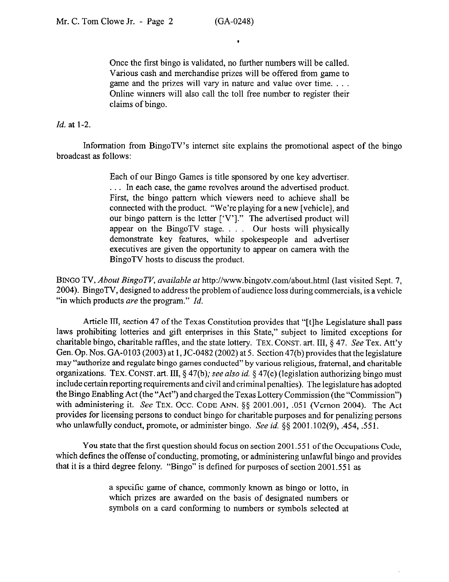Once the first bingo is validated, no further numbers will be called. Various cash and merchandise prizes will be offered from game to game and the prizes will vary in nature and value over time. . . . Online winners will also call the toll free number to register their claims of bingo.

## *Id.* at l-2.

Information from BingoTV's intemet site explains the promotional aspect of the bingo broadcast as follows:

> Each of our Bingo Games is title sponsored by one key advertiser. . In each case, the game revolves around the advertised product. First, the bingo pattern which viewers need to achieve shall be connected with the product. "We're playing for a new [vehicle], and our bingo pattern is the letter ['V']." The advertised product will appear on the BingoTV stage.  $\ldots$  Our hosts will physically demonstrate key features, while spokespeople and advertiser executives are given the opportunity to appear on camera with the BingoTV hosts to discuss the product.

**BINGO TV,** *About BingoTV, available* at http://www.bingotv.com/about.html (last visited Sept. 7, 2004). BingoTV, designed to address the problem of audience loss during commercials, is a vehicle "in which products are the program." *Id.* 

Article III, section 47 of the Texas Constitution provides that "[tlhe Legislature shall pass laws prohibiting lotteries and gift enterprises in this State," subject to limited exceptions for charitable bingo, charitable raffles, and the state lottery. **TEX. CONST.** art. III, § 47. See Tex. Att'y Gen. Op. Nos. GA-0103 (2003) at 1, JC-0482 (2002) at 5. Section 47(b) provides that the legislature may "authorize and regulate bingo games conducted" by various religious, fraternal, and charitable organizations. TEX. CONST. art. III, § 47(b); see also *id.* § 47(c) (legislation authorizing bingo must include certain reporting requirements and civil and criminal penalties). The legislature has adopted the Bingo Enabling Act (the "Act") and charged the Texas Lottery Commission (the "Commission") with administering it. See **TEX. OCC. CODE** ANN. \$5 2001.001, ,051 (Vernon 2004). The Act provides for licensing persons to conduct bingo for charitable purposes and for penalizing persons who unlawfully conduct, promote, or administer bingo. See *id. §§* 2001.102(9), ,454, ,551.

You state that the first question should focus on section 2001.55 1 of the Occupations Code, which defines the offense of conducting, promoting, or administering unlawful bingo and provides that it is a third degree felony. "Bingo" is defined for purposes of section 2001.551 as

> a specific game of chance, commonly known as bingo or lotto, in which prizes are awarded on the basis of designated numbers or symbols on a card conforming to numbers or symbols selected at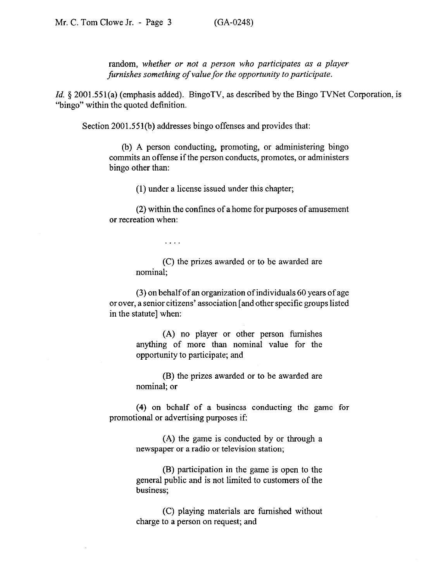random, *whether or not a person who participates as a player furnishes something of value for the opportunity to participate.* 

*Id.* § 2001.551(a) (emphasis added). BingoTV, as described by the Bingo TVNet Corporation, is "bingo" within the quoted definition.

Section 2001.551(b) addresses bingo offenses and provides that:

 $\mathbf{1}$  ,  $\mathbf{1}$  ,  $\mathbf{1}$ 

(b) A person conducting, promoting, or administering bingo commits an offense if the person conducts, promotes, or administers bingo other than:

(1) under a license issued under this chapter;

(2) within the confines of a home for purposes of amusement or recreation when:

> (C) the prizes awarded or to be awarded are nominal;

(3) on behalf of an organization of individuals 60 years of age or over, a senior citizens' association [and other specific groups listed in the statute] when:

> (A) no player or other person furnishes anything of more than nominal value for the opportunity to participate; and

> (B) the prizes awarded or to be awarded are nominal: or

(4) on behalf of a business conducting the game for promotional or advertising purposes if:

> (A) the game is conducted by or through a newspaper or a radio or television station;

> (B) participation in the game is open to the general public and is not limited to customers of the business;

> (C) playing materials are furnished without charge to a person on request; and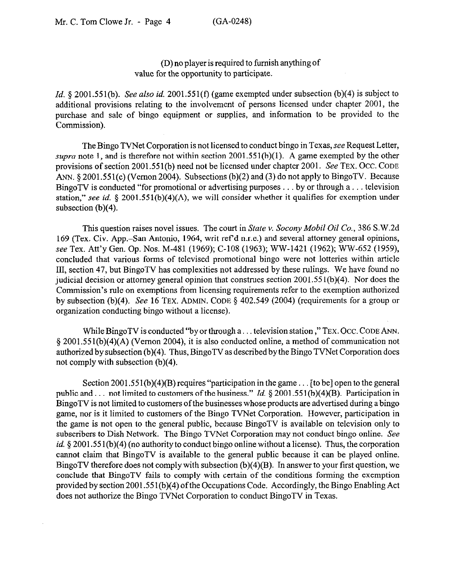## (D) no player is required to furnish anything of value for the opportunity to participate.

*Id.* § 2001.551(b). See also *id.* 2001.551(f) (game exempted under subsection (b)(4) is subject to additional provisions relating to the involvement of persons licensed under chapter 2001, the purchase and sale of bingo equipment or supplies, and information to be provided to the Commission).

The Bingo TVNet Corporation is not licensed to conduct bingo in Texas, see Request Letter, *supra* note 1, and is therefore not within section 2001.551(b)(l). A game exempted by the other provisions of section 2001.551(b) need not be licensed under chapter 2001. See **TEX. OCC. CODE ANN.** 5 2001.551(c) (Vernon 2004). Subsections (b)(2) and (3) do not apply to BingoTV. Because BingoTV is conducted "for promotional or advertising purposes . . . by or through a . . . television station," see id. § 2001.551(b)(4)(A), we will consider whether it qualifies for exemption under subsection (b)(4).

This question raises novel issues. The court in *State v. Socony Mobil Oil Co., 386* S.W.2d 169 (Tex. Civ. App.-San Antonio, 1964, writ ref d n.r.e.) and several attorney general opinions, see Tex. Att'y Gen. Op. Nos. M-481 (1969); C-108 (1963); WW-1421 (1962); WW-652 (1959), concluded that various forms of televised promotional bingo were not lotteries within article III, section 47, but BingoTV has complexities not addressed by these rulings. We have found no judicial decision or attorney general opinion that construes section 2001.551(b)(4). Nor does the Commission's rule on exemptions from licensing requirements refer to the exemption authorized by subsection (b)(4). See 16 **TEX. ADMIN. CODE** § 402.549 (2004) (requirements for a group or organization conducting bingo without a license).

While BingoTV is conducted "by or through a... television station," TEX. Occ. CODE ANN. 5 2001,551(b)(4)(A) (Vernon 2004), it is also conducted online, a method of communication not authorized by subsection (b)(4). Thus, BingoTV as described by the Bingo TVNet Corporation does not comply with subsection (b)(4).

Section 2001.551(b)(4)(B) requires "participation in the game... [to be] open to the general public and... not limited to customers of the business." *Id.* § 2001.551(b)(4)(B). Participation in BingoTV is not limited to customers of the businesses whose products are advertised during a bingo game, nor is it limited to customers of the Bingo TVNet Corporation. However, participation in the game is not open to the general public, because BingoTV is available on television only to subscribers to Dish Network. The Bingo TVNet Corporation may not conduct bingo online. See *id.* § 2001.551(b)(4) (no authority to conduct bingo online without a license). Thus, the corporation cannot claim that BingoTV is available to the general public because it can be played online. BingoTV therefore does not comply with subsection (b)(4)(B). In answer to your first question, we conclude that BingoTV fails to comply with certain of the conditions forming the exemption provided by section 2001.55 l(b)(4) ofthe Occupations Code. Accordingly, the Bingo Enabling Act does not authorize the Bingo TVNet Corporation to conduct BingoTV in Texas.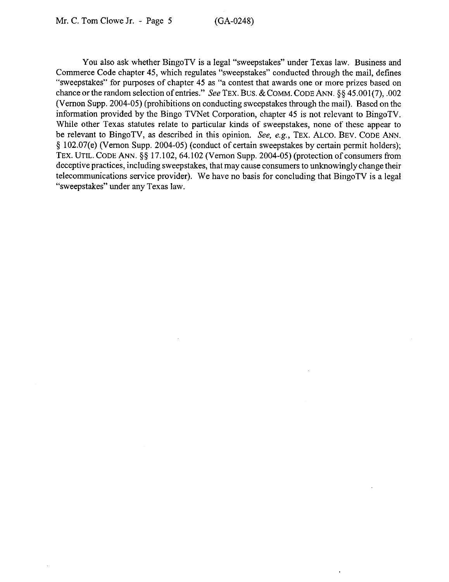You also ask whether BingoTV is a legal "sweepstakes" under Texas law. Business and Commerce Code chapter 45, which regulates "sweepstakes" conducted through the mail, defines "sweepstakes" for purposes of chapter 45 as "a contest that awards one or more prizes based on chance or the random selection of entries." See TEX. BUS. & COMM. CODE ANN. §§ 45.001(7), .002 (Vernon Supp. 2004-05) (prohibitions on conducting sweepstakes through the mail). Based on the information provided by the Bingo TVNet Corporation, chapter 45 is not relevant to BingoTV. While other Texas statutes relate to particular kinds of sweepstakes, none of these appear to be relevant to BingoTV, as described in this opinion. See, e.g., TEX. ALCO. BEV. CODE ANN. 5 102.07(e) (Vernon Supp. 2004-05) (conduct of certain sweepstakes by certain permit holders); TEX. UTIL. CODE ANN. §§ 17.102, 64.102 (Vernon Supp. 2004-05) (protection of consumers from deceptive practices, including sweepstakes, that may cause consumers to unknowingly change their telecommunications service provider). We have no basis for concluding that BingoTV is a legal "sweepstakes" under any Texas law.